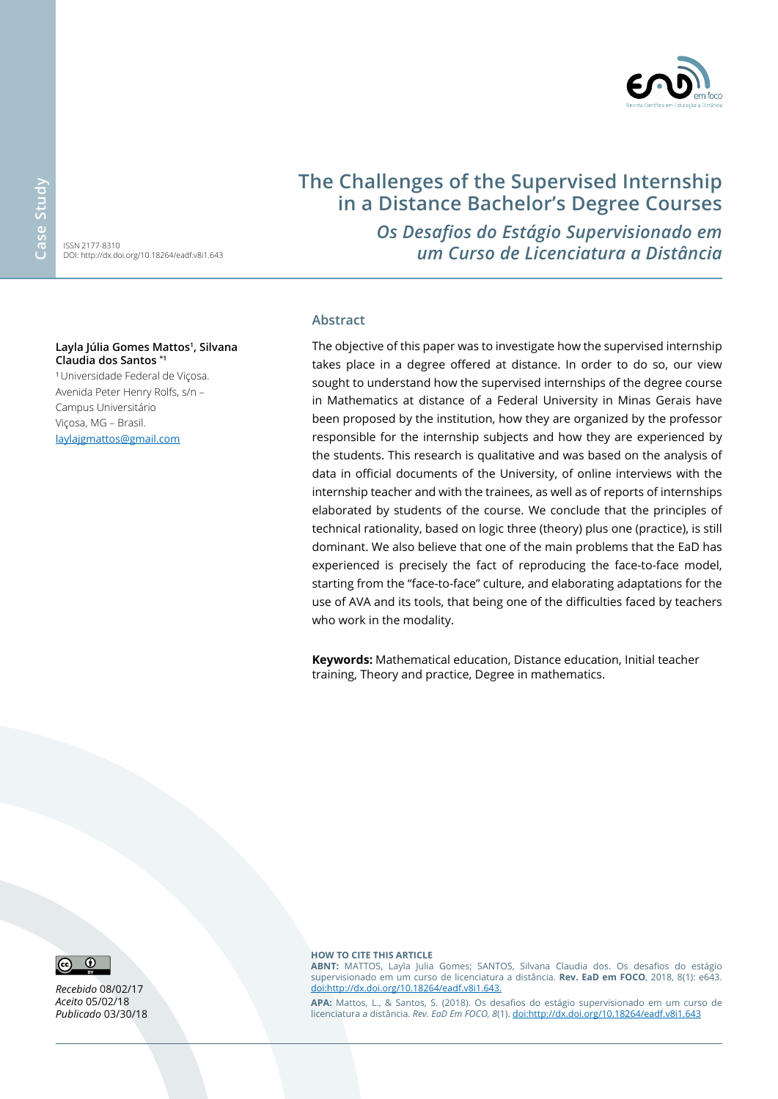ISSN 2177-8310 DOI: http://dx.doi.org/10.18264/eadf.v8i1.643

#### **Layla Júlia Gomes Mattos1 , Silvana Claudia dos Santos \*1**

<sup>1</sup>Universidade Federal de Viçosa. Avenida Peter Henry Rolfs, s/n – Campus Universitário Viçosa, MG – Brasil. [laylajgmattos@gmail.com](mailto:laylajgmattos%40gmail.com?subject=EAD%20em%20Foco)

# **The Challenges of the Supervised Internship in a Distance Bachelor's Degree Courses**

*Os Desafios do Estágio Supervisionado em um Curso de Licenciatura a Distância*

#### **Abstract**

The objective of this paper was to investigate how the supervised internship takes place in a degree offered at distance. In order to do so, our view sought to understand how the supervised internships of the degree course in Mathematics at distance of a Federal University in Minas Gerais have been proposed by the institution, how they are organized by the professor responsible for the internship subjects and how they are experienced by the students. This research is qualitative and was based on the analysis of data in official documents of the University, of online interviews with the internship teacher and with the trainees, as well as of reports of internships elaborated by students of the course. We conclude that the principles of technical rationality, based on logic three (theory) plus one (practice), is still dominant. We also believe that one of the main problems that the EaD has experienced is precisely the fact of reproducing the face-to-face model, starting from the "face-to-face" culture, and elaborating adaptations for the use of AVA and its tools, that being one of the difficulties faced by teachers who work in the modality.

**Keywords:** Mathematical education, Distance education, Initial teacher training, Theory and practice, Degree in mathematics.



*Recebido* 08/02/17 *Aceito* 05/02/18 *Publicado* 03/30/18 **how to cite this article**

**ABNT:** MATTOS, Layla Julia Gomes; SANTOS, Silvana Claudia dos. Os desafios do estágio supervisionado em um curso de licenciatura a distância. **Rev. EaD em FOCO**, 2018, 8(1): e643. [doi:http://dx.doi.org/10.18264/eadf.v8i1.643.](doi:http://dx.doi.org/10.18264/eadf.v8i1.643.%0D)

**APA:** Mattos, L., & Santos, S. (2018). Os desafios do estágio supervisionado em um curso de licenciatura a distância. *Rev. EaD Em FOCO, 8*(1).<doi:http://dx.doi.org/10.18264/eadf.v8i1.643>

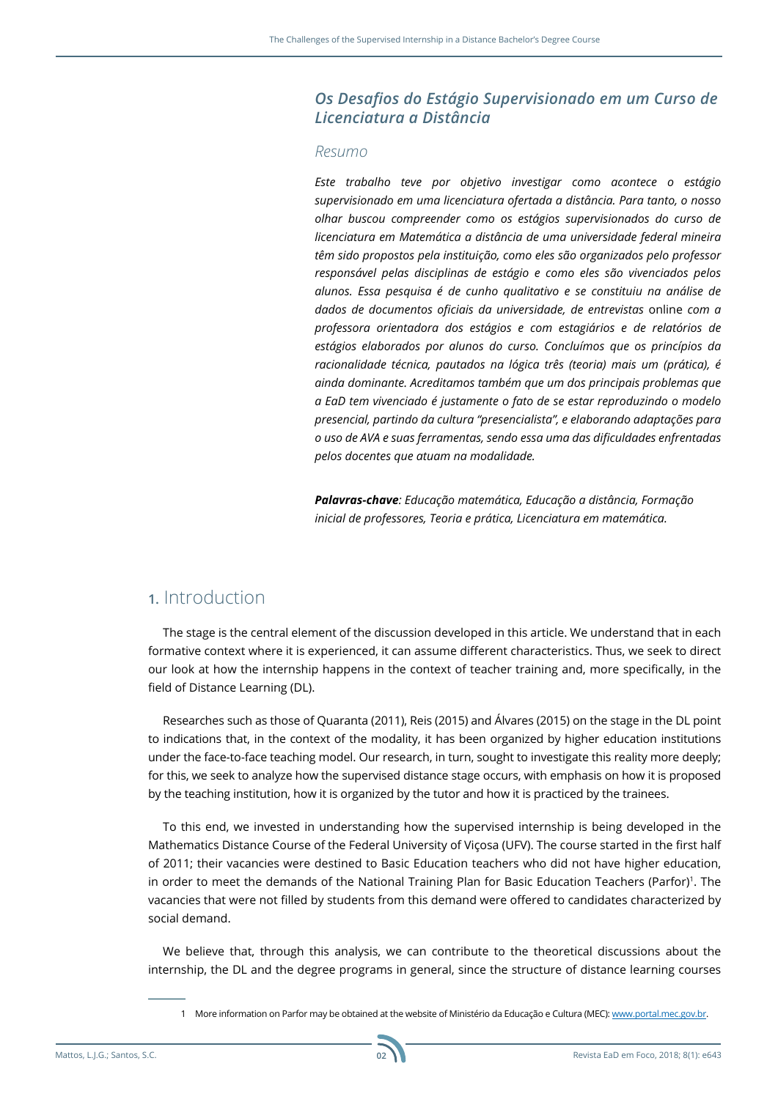#### *Os Desafios do Estágio Supervisionado em um Curso de Licenciatura a Distância*

#### *Resumo*

*Este trabalho teve por objetivo investigar como acontece o estágio supervisionado em uma licenciatura ofertada a distância. Para tanto, o nosso olhar buscou compreender como os estágios supervisionados do curso de licenciatura em Matemática a distância de uma universidade federal mineira têm sido propostos pela instituição, como eles são organizados pelo professor responsável pelas disciplinas de estágio e como eles são vivenciados pelos alunos. Essa pesquisa é de cunho qualitativo e se constituiu na análise de dados de documentos oficiais da universidade, de entrevistas* online *com a professora orientadora dos estágios e com estagiários e de relatórios de estágios elaborados por alunos do curso. Concluímos que os princípios da racionalidade técnica, pautados na lógica três (teoria) mais um (prática), é ainda dominante. Acreditamos também que um dos principais problemas que a EaD tem vivenciado é justamente o fato de se estar reproduzindo o modelo presencial, partindo da cultura "presencialista", e elaborando adaptações para o uso de AVA e suas ferramentas, sendo essa uma das dificuldades enfrentadas pelos docentes que atuam na modalidade.*

*Palavras-chave: Educação matemática, Educação a distância, Formação inicial de professores, Teoria e prática, Licenciatura em matemática.*

### **1.** Introduction

The stage is the central element of the discussion developed in this article. We understand that in each formative context where it is experienced, it can assume different characteristics. Thus, we seek to direct our look at how the internship happens in the context of teacher training and, more specifically, in the field of Distance Learning (DL).

Researches such as those of Quaranta (2011), Reis (2015) and Álvares (2015) on the stage in the DL point to indications that, in the context of the modality, it has been organized by higher education institutions under the face-to-face teaching model. Our research, in turn, sought to investigate this reality more deeply; for this, we seek to analyze how the supervised distance stage occurs, with emphasis on how it is proposed by the teaching institution, how it is organized by the tutor and how it is practiced by the trainees.

To this end, we invested in understanding how the supervised internship is being developed in the Mathematics Distance Course of the Federal University of Viçosa (UFV). The course started in the first half of 2011; their vacancies were destined to Basic Education teachers who did not have higher education, in order to meet the demands of the National Training Plan for Basic Education Teachers (Parfor)<sup>1</sup>. The vacancies that were not filled by students from this demand were offered to candidates characterized by social demand.

We believe that, through this analysis, we can contribute to the theoretical discussions about the internship, the DL and the degree programs in general, since the structure of distance learning courses



<sup>1</sup> More information on Parfor may be obtained at the website of Ministério da Educação e Cultura (MEC): [www.portal.mec.gov.br.](http://www.portal.mec.gov.br)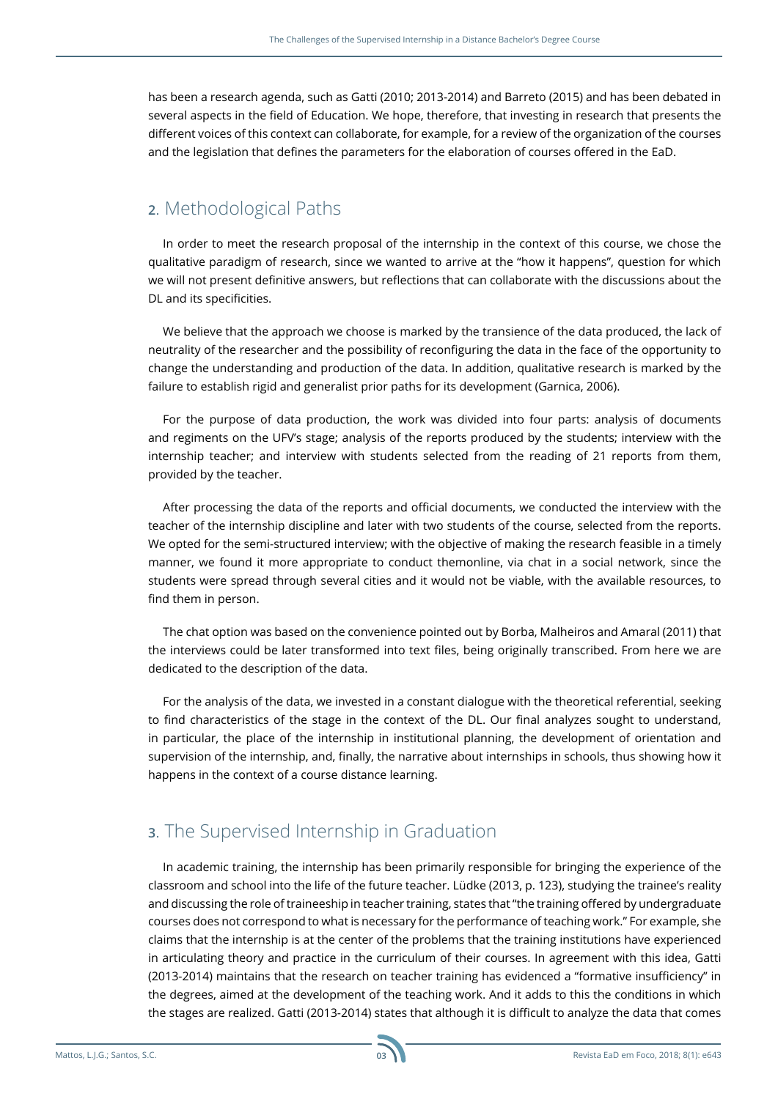has been a research agenda, such as Gatti (2010; 2013-2014) and Barreto (2015) and has been debated in several aspects in the field of Education. We hope, therefore, that investing in research that presents the different voices of this context can collaborate, for example, for a review of the organization of the courses and the legislation that defines the parameters for the elaboration of courses offered in the EaD.

### **2**. Methodological Paths

In order to meet the research proposal of the internship in the context of this course, we chose the qualitative paradigm of research, since we wanted to arrive at the "how it happens", question for which we will not present definitive answers, but reflections that can collaborate with the discussions about the DL and its specificities.

We believe that the approach we choose is marked by the transience of the data produced, the lack of neutrality of the researcher and the possibility of reconfiguring the data in the face of the opportunity to change the understanding and production of the data. In addition, qualitative research is marked by the failure to establish rigid and generalist prior paths for its development (Garnica, 2006).

For the purpose of data production, the work was divided into four parts: analysis of documents and regiments on the UFV's stage; analysis of the reports produced by the students; interview with the internship teacher; and interview with students selected from the reading of 21 reports from them, provided by the teacher.

After processing the data of the reports and official documents, we conducted the interview with the teacher of the internship discipline and later with two students of the course, selected from the reports. We opted for the semi-structured interview; with the objective of making the research feasible in a timely manner, we found it more appropriate to conduct themonline, via chat in a social network, since the students were spread through several cities and it would not be viable, with the available resources, to find them in person.

The chat option was based on the convenience pointed out by Borba, Malheiros and Amaral (2011) that the interviews could be later transformed into text files, being originally transcribed. From here we are dedicated to the description of the data.

For the analysis of the data, we invested in a constant dialogue with the theoretical referential, seeking to find characteristics of the stage in the context of the DL. Our final analyzes sought to understand, in particular, the place of the internship in institutional planning, the development of orientation and supervision of the internship, and, finally, the narrative about internships in schools, thus showing how it happens in the context of a course distance learning.

## **3**. The Supervised Internship in Graduation

In academic training, the internship has been primarily responsible for bringing the experience of the classroom and school into the life of the future teacher. Lüdke (2013, p. 123), studying the trainee's reality and discussing the role of traineeship in teacher training, states that "the training offered by undergraduate courses does not correspond to what is necessary for the performance of teaching work." For example, she claims that the internship is at the center of the problems that the training institutions have experienced in articulating theory and practice in the curriculum of their courses. In agreement with this idea, Gatti (2013-2014) maintains that the research on teacher training has evidenced a "formative insufficiency" in the degrees, aimed at the development of the teaching work. And it adds to this the conditions in which the stages are realized. Gatti (2013-2014) states that although it is difficult to analyze the data that comes

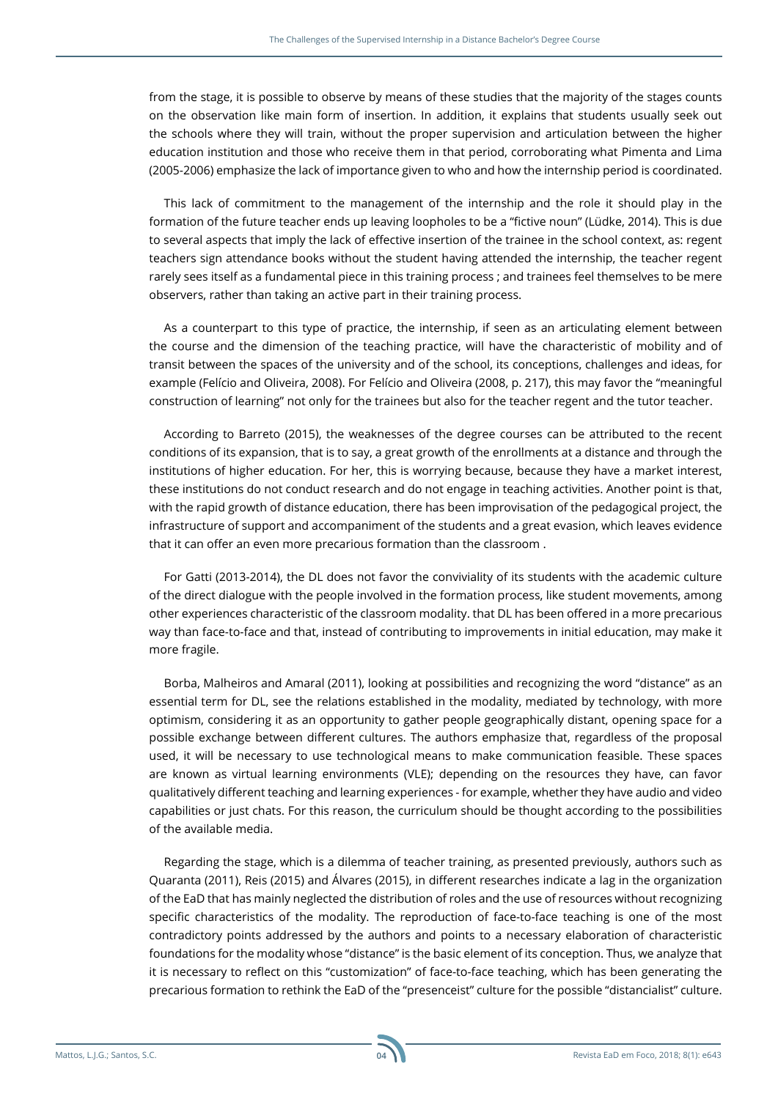from the stage, it is possible to observe by means of these studies that the majority of the stages counts on the observation like main form of insertion. In addition, it explains that students usually seek out the schools where they will train, without the proper supervision and articulation between the higher education institution and those who receive them in that period, corroborating what Pimenta and Lima (2005-2006) emphasize the lack of importance given to who and how the internship period is coordinated.

This lack of commitment to the management of the internship and the role it should play in the formation of the future teacher ends up leaving loopholes to be a "fictive noun" (Lüdke, 2014). This is due to several aspects that imply the lack of effective insertion of the trainee in the school context, as: regent teachers sign attendance books without the student having attended the internship, the teacher regent rarely sees itself as a fundamental piece in this training process ; and trainees feel themselves to be mere observers, rather than taking an active part in their training process.

As a counterpart to this type of practice, the internship, if seen as an articulating element between the course and the dimension of the teaching practice, will have the characteristic of mobility and of transit between the spaces of the university and of the school, its conceptions, challenges and ideas, for example (Felício and Oliveira, 2008). For Felício and Oliveira (2008, p. 217), this may favor the "meaningful construction of learning" not only for the trainees but also for the teacher regent and the tutor teacher.

According to Barreto (2015), the weaknesses of the degree courses can be attributed to the recent conditions of its expansion, that is to say, a great growth of the enrollments at a distance and through the institutions of higher education. For her, this is worrying because, because they have a market interest, these institutions do not conduct research and do not engage in teaching activities. Another point is that, with the rapid growth of distance education, there has been improvisation of the pedagogical project, the infrastructure of support and accompaniment of the students and a great evasion, which leaves evidence that it can offer an even more precarious formation than the classroom .

For Gatti (2013-2014), the DL does not favor the conviviality of its students with the academic culture of the direct dialogue with the people involved in the formation process, like student movements, among other experiences characteristic of the classroom modality. that DL has been offered in a more precarious way than face-to-face and that, instead of contributing to improvements in initial education, may make it more fragile.

Borba, Malheiros and Amaral (2011), looking at possibilities and recognizing the word "distance" as an essential term for DL, see the relations established in the modality, mediated by technology, with more optimism, considering it as an opportunity to gather people geographically distant, opening space for a possible exchange between different cultures. The authors emphasize that, regardless of the proposal used, it will be necessary to use technological means to make communication feasible. These spaces are known as virtual learning environments (VLE); depending on the resources they have, can favor qualitatively different teaching and learning experiences - for example, whether they have audio and video capabilities or just chats. For this reason, the curriculum should be thought according to the possibilities of the available media.

Regarding the stage, which is a dilemma of teacher training, as presented previously, authors such as Quaranta (2011), Reis (2015) and Álvares (2015), in different researches indicate a lag in the organization of the EaD that has mainly neglected the distribution of roles and the use of resources without recognizing specific characteristics of the modality. The reproduction of face-to-face teaching is one of the most contradictory points addressed by the authors and points to a necessary elaboration of characteristic foundations for the modality whose "distance" is the basic element of its conception. Thus, we analyze that it is necessary to reflect on this "customization" of face-to-face teaching, which has been generating the precarious formation to rethink the EaD of the "presenceist" culture for the possible "distancialist" culture.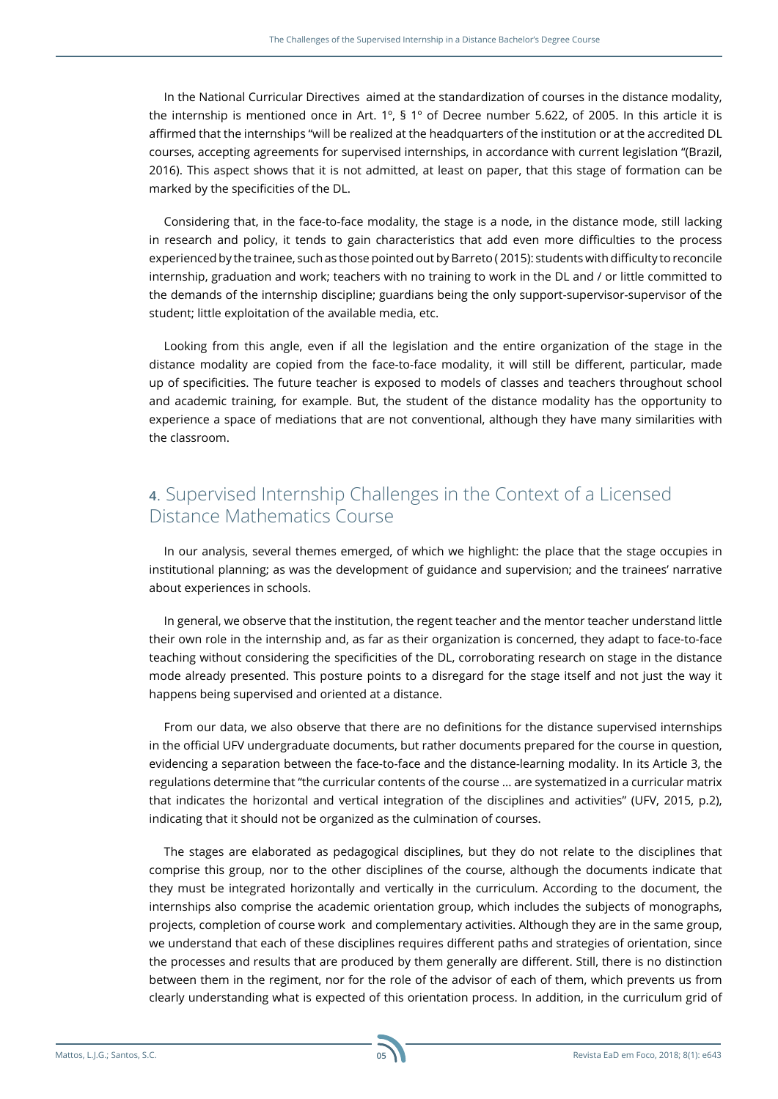In the National Curricular Directives aimed at the standardization of courses in the distance modality, the internship is mentioned once in Art. 1º, § 1º of Decree number 5.622, of 2005. In this article it is affirmed that the internships "will be realized at the headquarters of the institution or at the accredited DL courses, accepting agreements for supervised internships, in accordance with current legislation "(Brazil, 2016). This aspect shows that it is not admitted, at least on paper, that this stage of formation can be marked by the specificities of the DL.

Considering that, in the face-to-face modality, the stage is a node, in the distance mode, still lacking in research and policy, it tends to gain characteristics that add even more difficulties to the process experienced by the trainee, such as those pointed out by Barreto ( 2015): students with difficulty to reconcile internship, graduation and work; teachers with no training to work in the DL and / or little committed to the demands of the internship discipline; guardians being the only support-supervisor-supervisor of the student; little exploitation of the available media, etc.

Looking from this angle, even if all the legislation and the entire organization of the stage in the distance modality are copied from the face-to-face modality, it will still be different, particular, made up of specificities. The future teacher is exposed to models of classes and teachers throughout school and academic training, for example. But, the student of the distance modality has the opportunity to experience a space of mediations that are not conventional, although they have many similarities with the classroom.

## **4**. Supervised Internship Challenges in the Context of a Licensed Distance Mathematics Course

In our analysis, several themes emerged, of which we highlight: the place that the stage occupies in institutional planning; as was the development of guidance and supervision; and the trainees' narrative about experiences in schools.

In general, we observe that the institution, the regent teacher and the mentor teacher understand little their own role in the internship and, as far as their organization is concerned, they adapt to face-to-face teaching without considering the specificities of the DL, corroborating research on stage in the distance mode already presented. This posture points to a disregard for the stage itself and not just the way it happens being supervised and oriented at a distance.

From our data, we also observe that there are no definitions for the distance supervised internships in the official UFV undergraduate documents, but rather documents prepared for the course in question, evidencing a separation between the face-to-face and the distance-learning modality. In its Article 3, the regulations determine that "the curricular contents of the course ... are systematized in a curricular matrix that indicates the horizontal and vertical integration of the disciplines and activities" (UFV, 2015, p.2), indicating that it should not be organized as the culmination of courses.

The stages are elaborated as pedagogical disciplines, but they do not relate to the disciplines that comprise this group, nor to the other disciplines of the course, although the documents indicate that they must be integrated horizontally and vertically in the curriculum. According to the document, the internships also comprise the academic orientation group, which includes the subjects of monographs, projects, completion of course work and complementary activities. Although they are in the same group, we understand that each of these disciplines requires different paths and strategies of orientation, since the processes and results that are produced by them generally are different. Still, there is no distinction between them in the regiment, nor for the role of the advisor of each of them, which prevents us from clearly understanding what is expected of this orientation process. In addition, in the curriculum grid of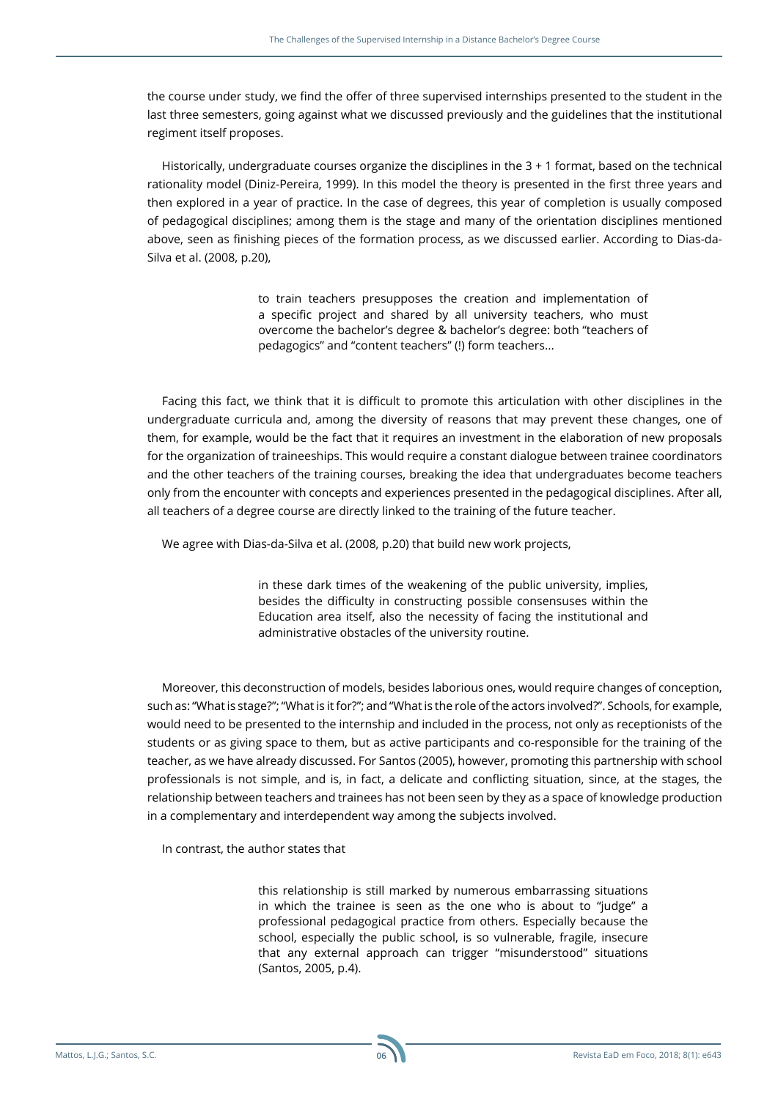the course under study, we find the offer of three supervised internships presented to the student in the last three semesters, going against what we discussed previously and the guidelines that the institutional regiment itself proposes.

Historically, undergraduate courses organize the disciplines in the 3 + 1 format, based on the technical rationality model (Diniz-Pereira, 1999). In this model the theory is presented in the first three years and then explored in a year of practice. In the case of degrees, this year of completion is usually composed of pedagogical disciplines; among them is the stage and many of the orientation disciplines mentioned above, seen as finishing pieces of the formation process, as we discussed earlier. According to Dias-da-Silva et al. (2008, p.20),

> to train teachers presupposes the creation and implementation of a specific project and shared by all university teachers, who must overcome the bachelor's degree & bachelor's degree: both "teachers of pedagogics" and "content teachers" (!) form teachers...

Facing this fact, we think that it is difficult to promote this articulation with other disciplines in the undergraduate curricula and, among the diversity of reasons that may prevent these changes, one of them, for example, would be the fact that it requires an investment in the elaboration of new proposals for the organization of traineeships. This would require a constant dialogue between trainee coordinators and the other teachers of the training courses, breaking the idea that undergraduates become teachers only from the encounter with concepts and experiences presented in the pedagogical disciplines. After all, all teachers of a degree course are directly linked to the training of the future teacher.

We agree with Dias-da-Silva et al. (2008, p.20) that build new work projects,

in these dark times of the weakening of the public university, implies, besides the difficulty in constructing possible consensuses within the Education area itself, also the necessity of facing the institutional and administrative obstacles of the university routine.

Moreover, this deconstruction of models, besides laborious ones, would require changes of conception, such as: "What is stage?"; "What is it for?"; and "What is the role of the actors involved?". Schools, for example, would need to be presented to the internship and included in the process, not only as receptionists of the students or as giving space to them, but as active participants and co-responsible for the training of the teacher, as we have already discussed. For Santos (2005), however, promoting this partnership with school professionals is not simple, and is, in fact, a delicate and conflicting situation, since, at the stages, the relationship between teachers and trainees has not been seen by they as a space of knowledge production in a complementary and interdependent way among the subjects involved.

In contrast, the author states that

this relationship is still marked by numerous embarrassing situations in which the trainee is seen as the one who is about to "judge" a professional pedagogical practice from others. Especially because the school, especially the public school, is so vulnerable, fragile, insecure that any external approach can trigger "misunderstood" situations (Santos, 2005, p.4).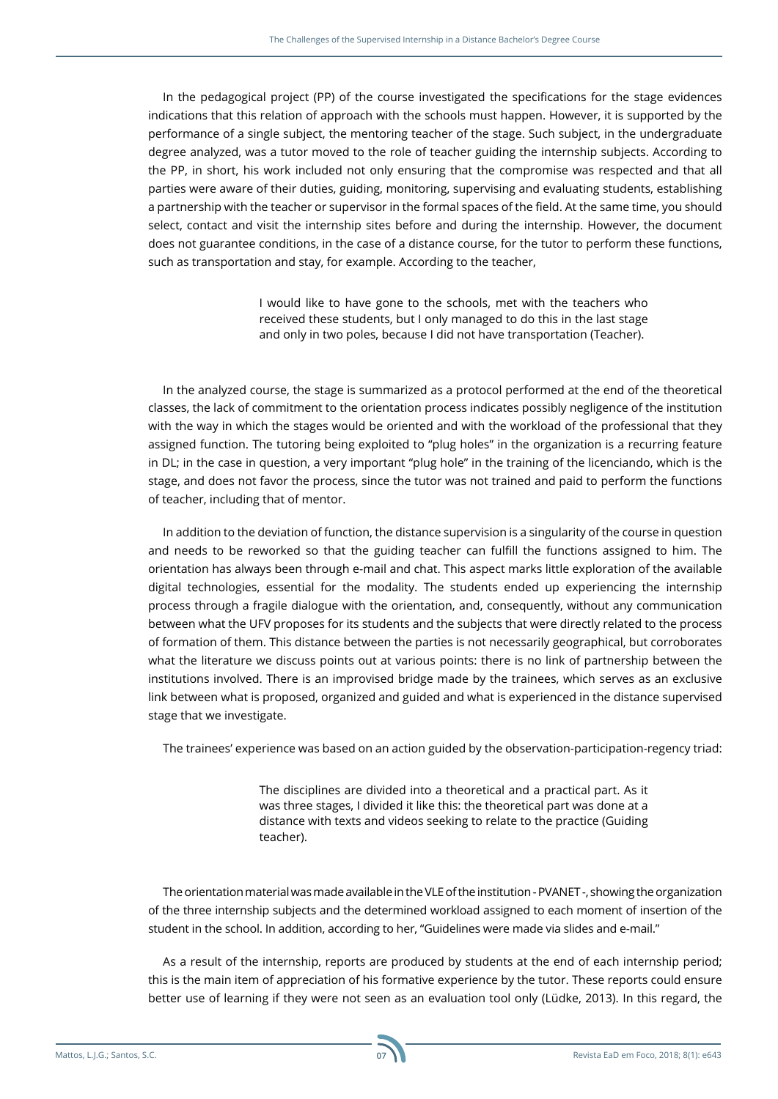In the pedagogical project (PP) of the course investigated the specifications for the stage evidences indications that this relation of approach with the schools must happen. However, it is supported by the performance of a single subject, the mentoring teacher of the stage. Such subject, in the undergraduate degree analyzed, was a tutor moved to the role of teacher guiding the internship subjects. According to the PP, in short, his work included not only ensuring that the compromise was respected and that all parties were aware of their duties, guiding, monitoring, supervising and evaluating students, establishing a partnership with the teacher or supervisor in the formal spaces of the field. At the same time, you should select, contact and visit the internship sites before and during the internship. However, the document does not guarantee conditions, in the case of a distance course, for the tutor to perform these functions, such as transportation and stay, for example. According to the teacher,

> I would like to have gone to the schools, met with the teachers who received these students, but I only managed to do this in the last stage and only in two poles, because I did not have transportation (Teacher).

In the analyzed course, the stage is summarized as a protocol performed at the end of the theoretical classes, the lack of commitment to the orientation process indicates possibly negligence of the institution with the way in which the stages would be oriented and with the workload of the professional that they assigned function. The tutoring being exploited to "plug holes" in the organization is a recurring feature in DL; in the case in question, a very important "plug hole" in the training of the licenciando, which is the stage, and does not favor the process, since the tutor was not trained and paid to perform the functions of teacher, including that of mentor.

In addition to the deviation of function, the distance supervision is a singularity of the course in question and needs to be reworked so that the guiding teacher can fulfill the functions assigned to him. The orientation has always been through e-mail and chat. This aspect marks little exploration of the available digital technologies, essential for the modality. The students ended up experiencing the internship process through a fragile dialogue with the orientation, and, consequently, without any communication between what the UFV proposes for its students and the subjects that were directly related to the process of formation of them. This distance between the parties is not necessarily geographical, but corroborates what the literature we discuss points out at various points: there is no link of partnership between the institutions involved. There is an improvised bridge made by the trainees, which serves as an exclusive link between what is proposed, organized and guided and what is experienced in the distance supervised stage that we investigate.

The trainees' experience was based on an action guided by the observation-participation-regency triad:

The disciplines are divided into a theoretical and a practical part. As it was three stages, I divided it like this: the theoretical part was done at a distance with texts and videos seeking to relate to the practice (Guiding teacher).

The orientation material was made available in the VLE of the institution - PVANET -, showing the organization of the three internship subjects and the determined workload assigned to each moment of insertion of the student in the school. In addition, according to her, "Guidelines were made via slides and e-mail."

As a result of the internship, reports are produced by students at the end of each internship period; this is the main item of appreciation of his formative experience by the tutor. These reports could ensure better use of learning if they were not seen as an evaluation tool only (Lüdke, 2013). In this regard, the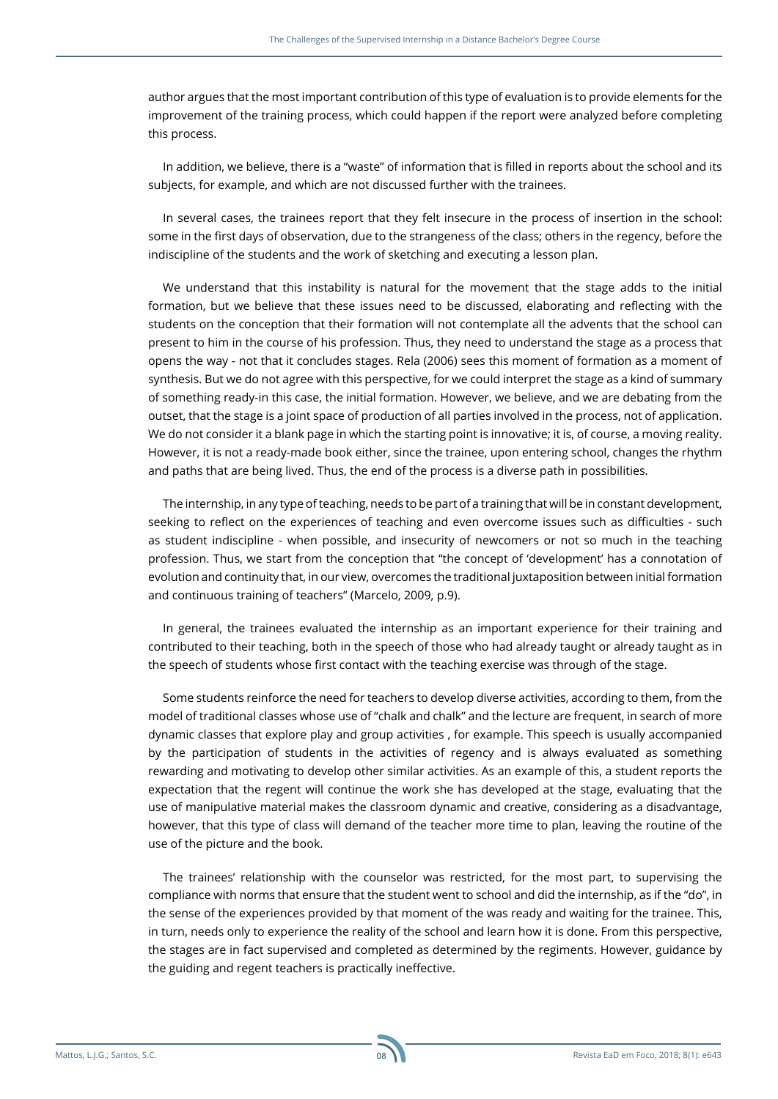author argues that the most important contribution of this type of evaluation is to provide elements for the improvement of the training process, which could happen if the report were analyzed before completing this process.

In addition, we believe, there is a "waste" of information that is filled in reports about the school and its subjects, for example, and which are not discussed further with the trainees.

In several cases, the trainees report that they felt insecure in the process of insertion in the school: some in the first days of observation, due to the strangeness of the class; others in the regency, before the indiscipline of the students and the work of sketching and executing a lesson plan.

We understand that this instability is natural for the movement that the stage adds to the initial formation, but we believe that these issues need to be discussed, elaborating and reflecting with the students on the conception that their formation will not contemplate all the advents that the school can present to him in the course of his profession. Thus, they need to understand the stage as a process that opens the way - not that it concludes stages. Rela (2006) sees this moment of formation as a moment of synthesis. But we do not agree with this perspective, for we could interpret the stage as a kind of summary of something ready-in this case, the initial formation. However, we believe, and we are debating from the outset, that the stage is a joint space of production of all parties involved in the process, not of application. We do not consider it a blank page in which the starting point is innovative; it is, of course, a moving reality. However, it is not a ready-made book either, since the trainee, upon entering school, changes the rhythm and paths that are being lived. Thus, the end of the process is a diverse path in possibilities.

The internship, in any type of teaching, needs to be part of a training that will be in constant development, seeking to reflect on the experiences of teaching and even overcome issues such as difficulties - such as student indiscipline - when possible, and insecurity of newcomers or not so much in the teaching profession. Thus, we start from the conception that "the concept of 'development' has a connotation of evolution and continuity that, in our view, overcomes the traditional juxtaposition between initial formation and continuous training of teachers" (Marcelo, 2009, p.9).

In general, the trainees evaluated the internship as an important experience for their training and contributed to their teaching, both in the speech of those who had already taught or already taught as in the speech of students whose first contact with the teaching exercise was through of the stage.

Some students reinforce the need for teachers to develop diverse activities, according to them, from the model of traditional classes whose use of "chalk and chalk" and the lecture are frequent, in search of more dynamic classes that explore play and group activities , for example. This speech is usually accompanied by the participation of students in the activities of regency and is always evaluated as something rewarding and motivating to develop other similar activities. As an example of this, a student reports the expectation that the regent will continue the work she has developed at the stage, evaluating that the use of manipulative material makes the classroom dynamic and creative, considering as a disadvantage, however, that this type of class will demand of the teacher more time to plan, leaving the routine of the use of the picture and the book.

The trainees' relationship with the counselor was restricted, for the most part, to supervising the compliance with norms that ensure that the student went to school and did the internship, as if the "do", in the sense of the experiences provided by that moment of the was ready and waiting for the trainee. This, in turn, needs only to experience the reality of the school and learn how it is done. From this perspective, the stages are in fact supervised and completed as determined by the regiments. However, guidance by the guiding and regent teachers is practically ineffective.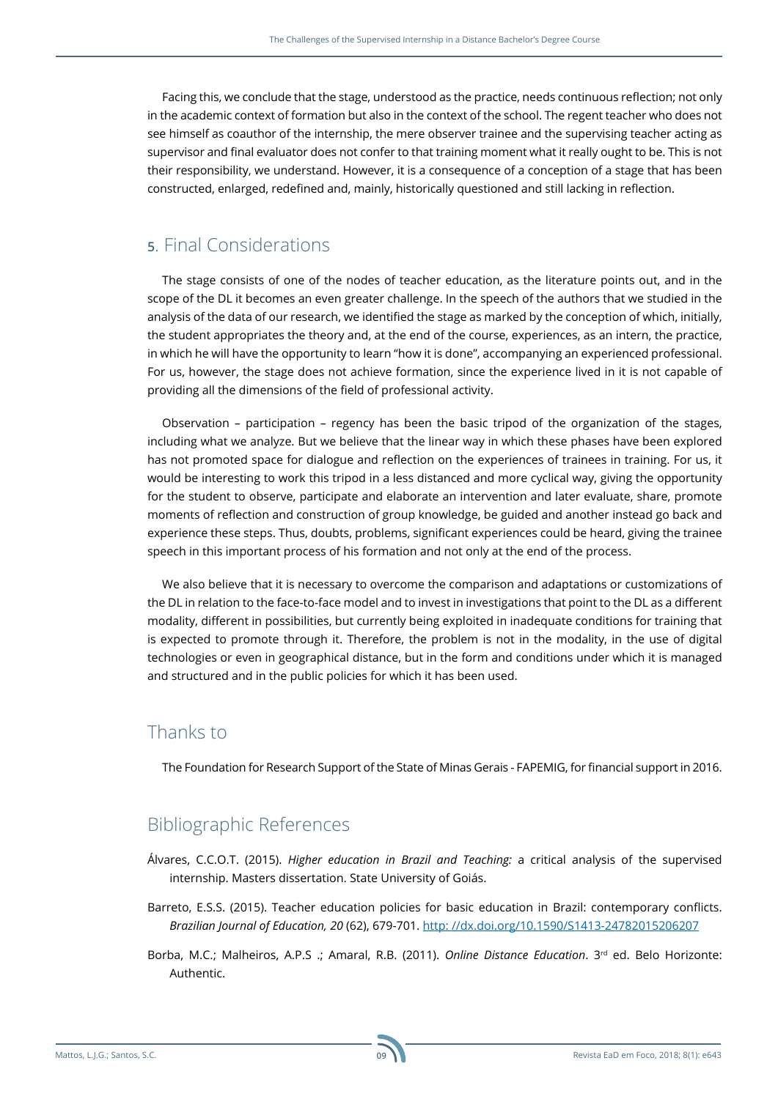Facing this, we conclude that the stage, understood as the practice, needs continuous reflection; not only in the academic context of formation but also in the context of the school. The regent teacher who does not see himself as coauthor of the internship, the mere observer trainee and the supervising teacher acting as supervisor and final evaluator does not confer to that training moment what it really ought to be. This is not their responsibility, we understand. However, it is a consequence of a conception of a stage that has been constructed, enlarged, redefined and, mainly, historically questioned and still lacking in reflection.

### **5**. Final Considerations

The stage consists of one of the nodes of teacher education, as the literature points out, and in the scope of the DL it becomes an even greater challenge. In the speech of the authors that we studied in the analysis of the data of our research, we identified the stage as marked by the conception of which, initially, the student appropriates the theory and, at the end of the course, experiences, as an intern, the practice, in which he will have the opportunity to learn "how it is done", accompanying an experienced professional. For us, however, the stage does not achieve formation, since the experience lived in it is not capable of providing all the dimensions of the field of professional activity.

Observation – participation – regency has been the basic tripod of the organization of the stages, including what we analyze. But we believe that the linear way in which these phases have been explored has not promoted space for dialogue and reflection on the experiences of trainees in training. For us, it would be interesting to work this tripod in a less distanced and more cyclical way, giving the opportunity for the student to observe, participate and elaborate an intervention and later evaluate, share, promote moments of reflection and construction of group knowledge, be guided and another instead go back and experience these steps. Thus, doubts, problems, significant experiences could be heard, giving the trainee speech in this important process of his formation and not only at the end of the process.

We also believe that it is necessary to overcome the comparison and adaptations or customizations of the DL in relation to the face-to-face model and to invest in investigations that point to the DL as a different modality, different in possibilities, but currently being exploited in inadequate conditions for training that is expected to promote through it. Therefore, the problem is not in the modality, in the use of digital technologies or even in geographical distance, but in the form and conditions under which it is managed and structured and in the public policies for which it has been used.

#### Thanks to

The Foundation for Research Support of the State of Minas Gerais - FAPEMIG, for financial support in 2016.

## Bibliographic References

- Álvares, C.C.O.T. (2015). *Higher education in Brazil and Teaching:* a critical analysis of the supervised internship. Masters dissertation. State University of Goiás.
- Barreto, E.S.S. (2015). Teacher education policies for basic education in Brazil: contemporary conflicts. *Brazilian Journal of Education, 20* (62), 679-701. [http: //dx.doi.org/10.1590/S1413-24782015206207](http:%20//dx.doi.org/10.1590/S1413-24782015206207)
- Borba, M.C.; Malheiros, A.P.S .; Amaral, R.B. (2011). *Online Distance Education*. 3<sup>rd</sup> ed. Belo Horizonte: Authentic.